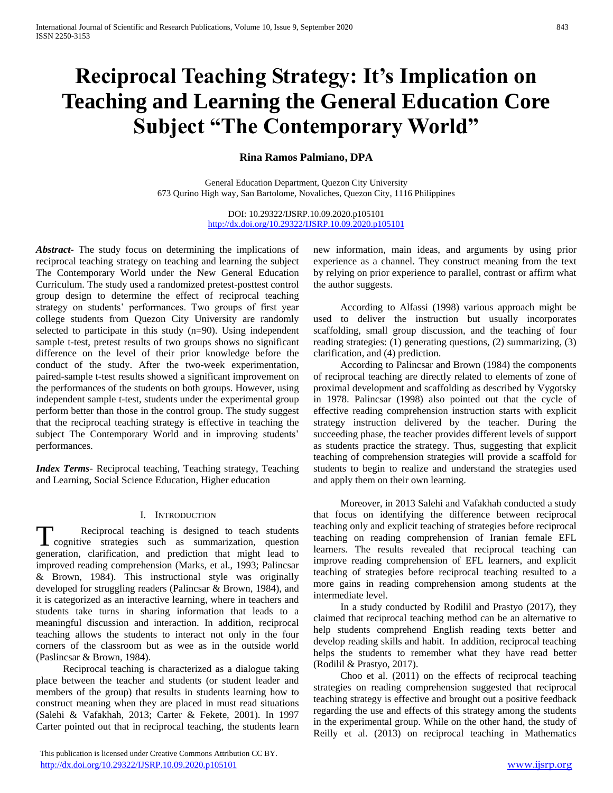# **Reciprocal Teaching Strategy: It's Implication on Teaching and Learning the General Education Core Subject "The Contemporary World"**

# **Rina Ramos Palmiano, DPA**

General Education Department, Quezon City University 673 Qurino High way, San Bartolome, Novaliches, Quezon City, 1116 Philippines

> DOI: 10.29322/IJSRP.10.09.2020.p105101 <http://dx.doi.org/10.29322/IJSRP.10.09.2020.p105101>

*Abstract***-** The study focus on determining the implications of reciprocal teaching strategy on teaching and learning the subject The Contemporary World under the New General Education Curriculum. The study used a randomized pretest-posttest control group design to determine the effect of reciprocal teaching strategy on students' performances. Two groups of first year college students from Quezon City University are randomly selected to participate in this study (n=90). Using independent sample t-test, pretest results of two groups shows no significant difference on the level of their prior knowledge before the conduct of the study. After the two-week experimentation, paired-sample t-test results showed a significant improvement on the performances of the students on both groups. However, using independent sample t-test, students under the experimental group perform better than those in the control group. The study suggest that the reciprocal teaching strategy is effective in teaching the subject The Contemporary World and in improving students' performances.

*Index Terms*- Reciprocal teaching, Teaching strategy, Teaching and Learning, Social Science Education, Higher education

#### I. INTRODUCTION

Reciprocal teaching is designed to teach students T cognitive strategies such as summarization, question generation, clarification, and prediction that might lead to improved reading comprehension (Marks, et al., 1993; Palincsar & Brown, 1984). This instructional style was originally developed for struggling readers (Palincsar & Brown, 1984), and it is categorized as an interactive learning, where in teachers and students take turns in sharing information that leads to a meaningful discussion and interaction. In addition, reciprocal teaching allows the students to interact not only in the four corners of the classroom but as wee as in the outside world (Paslincsar & Brown, 1984).

Reciprocal teaching is characterized as a dialogue taking place between the teacher and students (or student leader and members of the group) that results in students learning how to construct meaning when they are placed in must read situations (Salehi & Vafakhah, 2013; Carter & Fekete, 2001). In 1997 Carter pointed out that in reciprocal teaching, the students learn

 This publication is licensed under Creative Commons Attribution CC BY. <http://dx.doi.org/10.29322/IJSRP.10.09.2020.p105101> [www.ijsrp.org](http://ijsrp.org/)

new information, main ideas, and arguments by using prior experience as a channel. They construct meaning from the text by relying on prior experience to parallel, contrast or affirm what the author suggests.

According to Alfassi (1998) various approach might be used to deliver the instruction but usually incorporates scaffolding, small group discussion, and the teaching of four reading strategies: (1) generating questions, (2) summarizing, (3) clarification, and (4) prediction.

According to Palincsar and Brown (1984) the components of reciprocal teaching are directly related to elements of zone of proximal development and scaffolding as described by Vygotsky in 1978. Palincsar (1998) also pointed out that the cycle of effective reading comprehension instruction starts with explicit strategy instruction delivered by the teacher. During the succeeding phase, the teacher provides different levels of support as students practice the strategy. Thus, suggesting that explicit teaching of comprehension strategies will provide a scaffold for students to begin to realize and understand the strategies used and apply them on their own learning.

Moreover, in 2013 Salehi and Vafakhah conducted a study that focus on identifying the difference between reciprocal teaching only and explicit teaching of strategies before reciprocal teaching on reading comprehension of Iranian female EFL learners. The results revealed that reciprocal teaching can improve reading comprehension of EFL learners, and explicit teaching of strategies before reciprocal teaching resulted to a more gains in reading comprehension among students at the intermediate level.

In a study conducted by Rodilil and Prastyo (2017), they claimed that reciprocal teaching method can be an alternative to help students comprehend English reading texts better and develop reading skills and habit. In addition, reciprocal teaching helps the students to remember what they have read better (Rodilil & Prastyo, 2017).

Choo et al. (2011) on the effects of reciprocal teaching strategies on reading comprehension suggested that reciprocal teaching strategy is effective and brought out a positive feedback regarding the use and effects of this strategy among the students in the experimental group. While on the other hand, the study of Reilly et al. (2013) on reciprocal teaching in Mathematics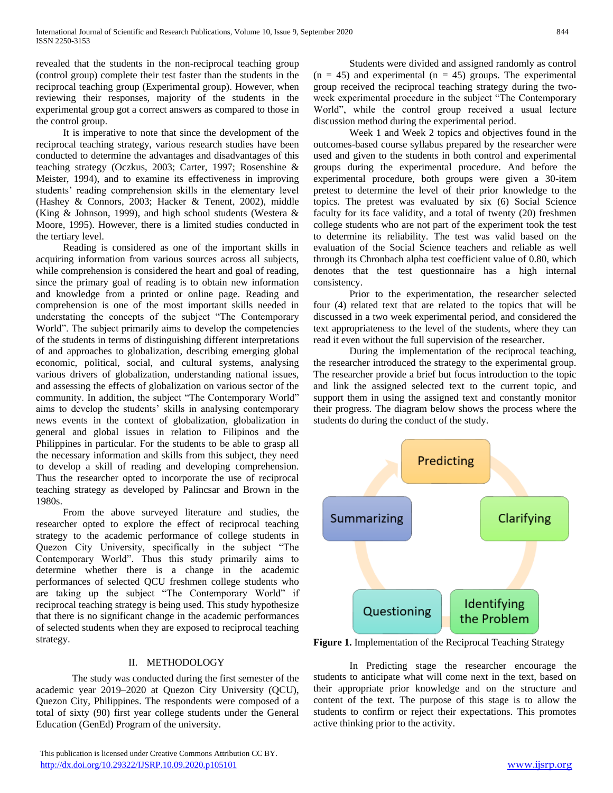revealed that the students in the non-reciprocal teaching group (control group) complete their test faster than the students in the reciprocal teaching group (Experimental group). However, when reviewing their responses, majority of the students in the experimental group got a correct answers as compared to those in the control group.

It is imperative to note that since the development of the reciprocal teaching strategy, various research studies have been conducted to determine the advantages and disadvantages of this teaching strategy (Oczkus, 2003; Carter, 1997; Rosenshine & Meister, 1994), and to examine its effectiveness in improving students' reading comprehension skills in the elementary level (Hashey & Connors, 2003; Hacker & Tenent, 2002), middle (King & Johnson, 1999), and high school students (Westera & Moore, 1995). However, there is a limited studies conducted in the tertiary level.

Reading is considered as one of the important skills in acquiring information from various sources across all subjects, while comprehension is considered the heart and goal of reading, since the primary goal of reading is to obtain new information and knowledge from a printed or online page. Reading and comprehension is one of the most important skills needed in understating the concepts of the subject "The Contemporary World". The subject primarily aims to develop the competencies of the students in terms of distinguishing different interpretations of and approaches to globalization, describing emerging global economic, political, social, and cultural systems, analysing various drivers of globalization, understanding national issues, and assessing the effects of globalization on various sector of the community. In addition, the subject "The Contemporary World" aims to develop the students' skills in analysing contemporary news events in the context of globalization, globalization in general and global issues in relation to Filipinos and the Philippines in particular. For the students to be able to grasp all the necessary information and skills from this subject, they need to develop a skill of reading and developing comprehension. Thus the researcher opted to incorporate the use of reciprocal teaching strategy as developed by Palincsar and Brown in the 1980s.

From the above surveyed literature and studies, the researcher opted to explore the effect of reciprocal teaching strategy to the academic performance of college students in Quezon City University, specifically in the subject "The Contemporary World". Thus this study primarily aims to determine whether there is a change in the academic performances of selected QCU freshmen college students who are taking up the subject "The Contemporary World" if reciprocal teaching strategy is being used. This study hypothesize that there is no significant change in the academic performances of selected students when they are exposed to reciprocal teaching strategy.

#### II. METHODOLOGY

The study was conducted during the first semester of the academic year 2019–2020 at Quezon City University (QCU), Quezon City, Philippines. The respondents were composed of a total of sixty (90) first year college students under the General Education (GenEd) Program of the university.

 This publication is licensed under Creative Commons Attribution CC BY. <http://dx.doi.org/10.29322/IJSRP.10.09.2020.p105101> [www.ijsrp.org](http://ijsrp.org/)

Students were divided and assigned randomly as control  $(n = 45)$  and experimental  $(n = 45)$  groups. The experimental group received the reciprocal teaching strategy during the twoweek experimental procedure in the subject "The Contemporary World", while the control group received a usual lecture discussion method during the experimental period.

Week 1 and Week 2 topics and objectives found in the outcomes-based course syllabus prepared by the researcher were used and given to the students in both control and experimental groups during the experimental procedure. And before the experimental procedure, both groups were given a 30-item pretest to determine the level of their prior knowledge to the topics. The pretest was evaluated by six (6) Social Science faculty for its face validity, and a total of twenty (20) freshmen college students who are not part of the experiment took the test to determine its reliability. The test was valid based on the evaluation of the Social Science teachers and reliable as well through its Chronbach alpha test coefficient value of 0.80, which denotes that the test questionnaire has a high internal consistency.

Prior to the experimentation, the researcher selected four (4) related text that are related to the topics that will be discussed in a two week experimental period, and considered the text appropriateness to the level of the students, where they can read it even without the full supervision of the researcher.

During the implementation of the reciprocal teaching, the researcher introduced the strategy to the experimental group. The researcher provide a brief but focus introduction to the topic and link the assigned selected text to the current topic, and support them in using the assigned text and constantly monitor their progress. The diagram below shows the process where the students do during the conduct of the study.



**Figure 1.** Implementation of the Reciprocal Teaching Strategy

In Predicting stage the researcher encourage the students to anticipate what will come next in the text, based on their appropriate prior knowledge and on the structure and content of the text. The purpose of this stage is to allow the students to confirm or reject their expectations. This promotes active thinking prior to the activity.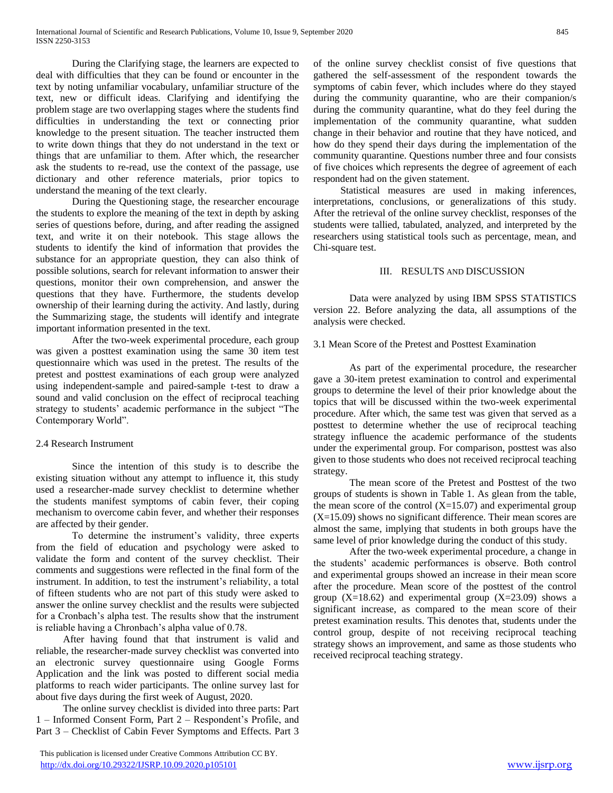During the Clarifying stage, the learners are expected to deal with difficulties that they can be found or encounter in the text by noting unfamiliar vocabulary, unfamiliar structure of the text, new or difficult ideas. Clarifying and identifying the problem stage are two overlapping stages where the students find difficulties in understanding the text or connecting prior knowledge to the present situation. The teacher instructed them to write down things that they do not understand in the text or things that are unfamiliar to them. After which, the researcher ask the students to re-read, use the context of the passage, use dictionary and other reference materials, prior topics to understand the meaning of the text clearly.

During the Questioning stage, the researcher encourage the students to explore the meaning of the text in depth by asking series of questions before, during, and after reading the assigned text, and write it on their notebook. This stage allows the students to identify the kind of information that provides the substance for an appropriate question, they can also think of possible solutions, search for relevant information to answer their questions, monitor their own comprehension, and answer the questions that they have. Furthermore, the students develop ownership of their learning during the activity. And lastly, during the Summarizing stage, the students will identify and integrate important information presented in the text.

After the two-week experimental procedure, each group was given a posttest examination using the same 30 item test questionnaire which was used in the pretest. The results of the pretest and posttest examinations of each group were analyzed using independent-sample and paired-sample t-test to draw a sound and valid conclusion on the effect of reciprocal teaching strategy to students' academic performance in the subject "The Contemporary World".

# 2.4 Research Instrument

Since the intention of this study is to describe the existing situation without any attempt to influence it, this study used a researcher-made survey checklist to determine whether the students manifest symptoms of cabin fever, their coping mechanism to overcome cabin fever, and whether their responses are affected by their gender.

To determine the instrument's validity, three experts from the field of education and psychology were asked to validate the form and content of the survey checklist. Their comments and suggestions were reflected in the final form of the instrument. In addition, to test the instrument's reliability, a total of fifteen students who are not part of this study were asked to answer the online survey checklist and the results were subjected for a Cronbach's alpha test. The results show that the instrument is reliable having a Chronbach's alpha value of 0.78.

After having found that that instrument is valid and reliable, the researcher-made survey checklist was converted into an electronic survey questionnaire using Google Forms Application and the link was posted to different social media platforms to reach wider participants. The online survey last for about five days during the first week of August, 2020.

The online survey checklist is divided into three parts: Part 1 – Informed Consent Form, Part 2 – Respondent's Profile, and Part 3 – Checklist of Cabin Fever Symptoms and Effects. Part 3

of the online survey checklist consist of five questions that gathered the self-assessment of the respondent towards the symptoms of cabin fever, which includes where do they stayed during the community quarantine, who are their companion/s during the community quarantine, what do they feel during the implementation of the community quarantine, what sudden change in their behavior and routine that they have noticed, and how do they spend their days during the implementation of the community quarantine. Questions number three and four consists of five choices which represents the degree of agreement of each respondent had on the given statement.

Statistical measures are used in making inferences, interpretations, conclusions, or generalizations of this study. After the retrieval of the online survey checklist, responses of the students were tallied, tabulated, analyzed, and interpreted by the researchers using statistical tools such as percentage, mean, and Chi-square test.

## III. RESULTS AND DISCUSSION

Data were analyzed by using IBM SPSS STATISTICS version 22. Before analyzing the data, all assumptions of the analysis were checked.

## 3.1 Mean Score of the Pretest and Posttest Examination

As part of the experimental procedure, the researcher gave a 30-item pretest examination to control and experimental groups to determine the level of their prior knowledge about the topics that will be discussed within the two-week experimental procedure. After which, the same test was given that served as a posttest to determine whether the use of reciprocal teaching strategy influence the academic performance of the students under the experimental group. For comparison, posttest was also given to those students who does not received reciprocal teaching strategy.

The mean score of the Pretest and Posttest of the two groups of students is shown in Table 1. As glean from the table, the mean score of the control  $(X=15.07)$  and experimental group (X=15.09) shows no significant difference. Their mean scores are almost the same, implying that students in both groups have the same level of prior knowledge during the conduct of this study.

After the two-week experimental procedure, a change in the students' academic performances is observe. Both control and experimental groups showed an increase in their mean score after the procedure. Mean score of the posttest of the control group  $(X=18.62)$  and experimental group  $(X=23.09)$  shows a significant increase, as compared to the mean score of their pretest examination results. This denotes that, students under the control group, despite of not receiving reciprocal teaching strategy shows an improvement, and same as those students who received reciprocal teaching strategy.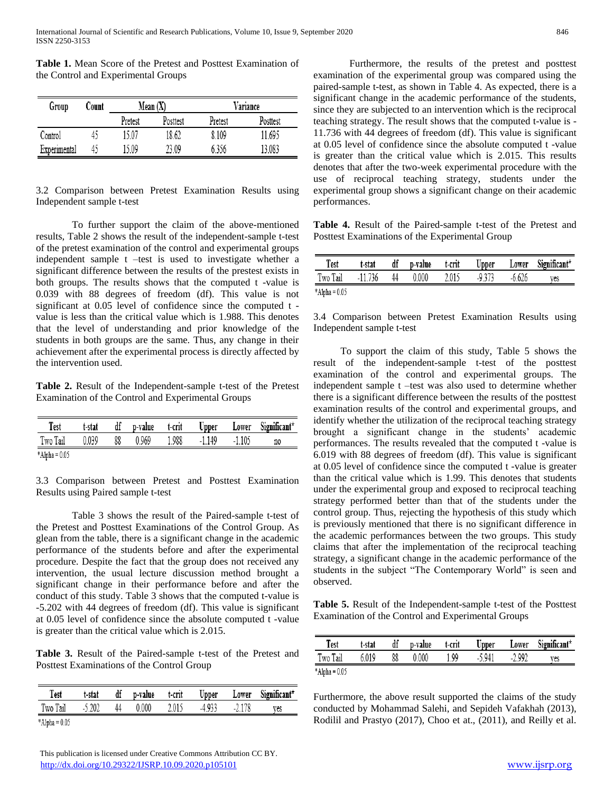**Table 1.** Mean Score of the Pretest and Posttest Examination of the Control and Experimental Groups

| Group        | Count |         | Mean(X)  | Variance |          |  |
|--------------|-------|---------|----------|----------|----------|--|
|              |       | Pretest | Posttest | Pretest  | Posttest |  |
| Control      | 42    | 15.07   | 18.62    | 8.109    | 11.695   |  |
| Experimental | 45    | 15.09   | 23.09    | 6356     | 13.083   |  |

## 3.2 Comparison between Pretest Examination Results using Independent sample t-test

To further support the claim of the above-mentioned results, Table 2 shows the result of the independent-sample t-test of the pretest examination of the control and experimental groups independent sample t –test is used to investigate whether a significant difference between the results of the prestest exists in both groups. The results shows that the computed t -value is 0.039 with 88 degrees of freedom (df). This value is not significant at 0.05 level of confidence since the computed t value is less than the critical value which is 1.988. This denotes that the level of understanding and prior knowledge of the students in both groups are the same. Thus, any change in their achievement after the experimental process is directly affected by the intervention used.

**Table 2.** Result of the Independent-sample t-test of the Pretest Examination of the Control and Experimental Groups

| Test            | t-stat | df | p-value | t-crit | Upper   | Lower   | Significant* |
|-----------------|--------|----|---------|--------|---------|---------|--------------|
| Two Tail        | 0.039  | 88 | 0.969   | 1.988  | $-1149$ | $-1105$ | n0           |
| $*Alpha = 0.05$ |        |    |         |        |         |         |              |

3.3 Comparison between Pretest and Posttest Examination Results using Paired sample t-test

Table 3 shows the result of the Paired-sample t-test of the Pretest and Posttest Examinations of the Control Group. As glean from the table, there is a significant change in the academic performance of the students before and after the experimental procedure. Despite the fact that the group does not received any intervention, the usual lecture discussion method brought a significant change in their performance before and after the conduct of this study. Table 3 shows that the computed t-value is -5.202 with 44 degrees of freedom (df). This value is significant at 0.05 level of confidence since the absolute computed t -value is greater than the critical value which is 2.015.

**Table 3.** Result of the Paired-sample t-test of the Pretest and Posttest Examinations of the Control Group

| Test            | t-stat   |    | df p-value | t-crit |        |          | Upper Lower Significant* |
|-----------------|----------|----|------------|--------|--------|----------|--------------------------|
| Two Tail        | $-5.202$ | 44 | 0.000      | 2.015  | -4 933 | $-2.178$ | ves                      |
| $*Alpha = 0.05$ |          |    |            |        |        |          |                          |

 This publication is licensed under Creative Commons Attribution CC BY. <http://dx.doi.org/10.29322/IJSRP.10.09.2020.p105101> [www.ijsrp.org](http://ijsrp.org/)

Furthermore, the results of the pretest and posttest examination of the experimental group was compared using the paired-sample t-test, as shown in Table 4. As expected, there is a significant change in the academic performance of the students, since they are subjected to an intervention which is the reciprocal teaching strategy. The result shows that the computed t-value is - 11.736 with 44 degrees of freedom (df). This value is significant at 0.05 level of confidence since the absolute computed t -value is greater than the critical value which is 2.015. This results denotes that after the two-week experimental procedure with the use of reciprocal teaching strategy, students under the experimental group shows a significant change on their academic performances.

**Table 4.** Result of the Paired-sample t-test of the Pretest and Posttest Examinations of the Experimental Group

| Test            | t-stat  | df | p-value | t-crit | Upper | Lower    | Significant* |
|-----------------|---------|----|---------|--------|-------|----------|--------------|
| Two Tail        | -11 736 | 44 | 0.000   | 2.015  | -9373 | $-6.626$ | ves          |
| $*Alpha = 0.05$ |         |    |         |        |       |          |              |

3.4 Comparison between Pretest Examination Results using Independent sample t-test

To support the claim of this study, Table 5 shows the result of the independent-sample t-test of the posttest examination of the control and experimental groups. The independent sample t –test was also used to determine whether there is a significant difference between the results of the posttest examination results of the control and experimental groups, and identify whether the utilization of the reciprocal teaching strategy brought a significant change in the students' academic performances. The results revealed that the computed t -value is 6.019 with 88 degrees of freedom (df). This value is significant at 0.05 level of confidence since the computed t -value is greater than the critical value which is 1.99. This denotes that students under the experimental group and exposed to reciprocal teaching strategy performed better than that of the students under the control group. Thus, rejecting the hypothesis of this study which is previously mentioned that there is no significant difference in the academic performances between the two groups. This study claims that after the implementation of the reciprocal teaching strategy, a significant change in the academic performance of the students in the subject "The Contemporary World" is seen and observed.

**Table 5.** Result of the Independent-sample t-test of the Posttest Examination of the Control and Experimental Groups

| Test            | t-stat | df | p-value | t-crit | Upper    | Lower | Significant* |
|-----------------|--------|----|---------|--------|----------|-------|--------------|
| Two Tail        | 6019   | 88 | 0.000   | 99     | $-5.941$ | 2.992 | ves          |
| $*Alpha = 0.05$ |        |    |         |        |          |       |              |

Furthermore, the above result supported the claims of the study conducted by Mohammad Salehi, and Sepideh Vafakhah (2013), Rodilil and Prastyo (2017), Choo et at., (2011), and Reilly et al.